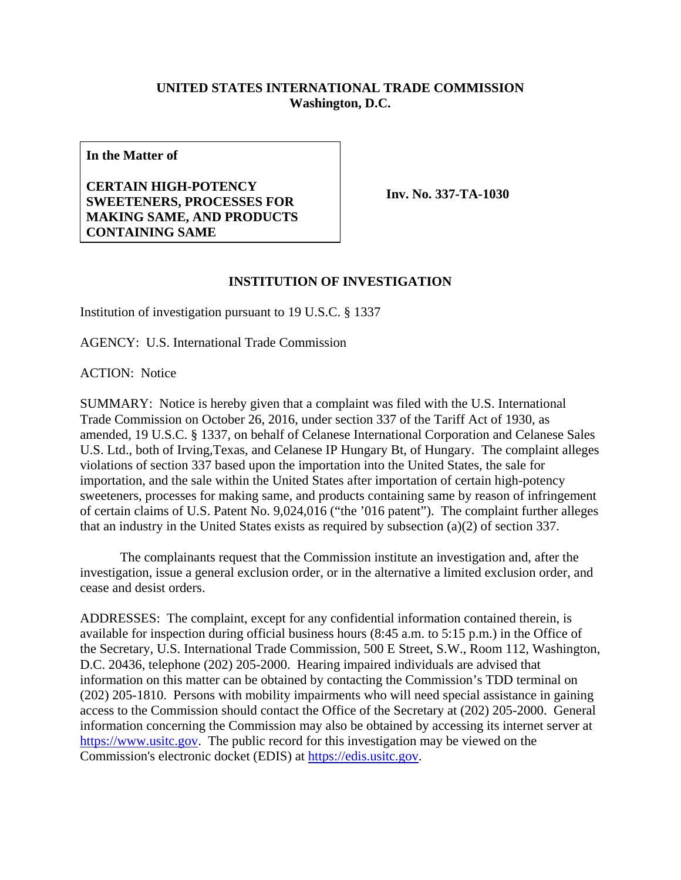## **UNITED STATES INTERNATIONAL TRADE COMMISSION Washington, D.C.**

**In the Matter of** 

## **CERTAIN HIGH-POTENCY SWEETENERS, PROCESSES FOR MAKING SAME, AND PRODUCTS CONTAINING SAME**

**Inv. No. 337-TA-1030**

## **INSTITUTION OF INVESTIGATION**

Institution of investigation pursuant to 19 U.S.C. § 1337

AGENCY: U.S. International Trade Commission

ACTION: Notice

SUMMARY: Notice is hereby given that a complaint was filed with the U.S. International Trade Commission on October 26, 2016, under section 337 of the Tariff Act of 1930, as amended, 19 U.S.C. § 1337, on behalf of Celanese International Corporation and Celanese Sales U.S. Ltd., both of Irving,Texas, and Celanese IP Hungary Bt, of Hungary. The complaint alleges violations of section 337 based upon the importation into the United States, the sale for importation, and the sale within the United States after importation of certain high-potency sweeteners, processes for making same, and products containing same by reason of infringement of certain claims of U.S. Patent No. 9,024,016 ("the '016 patent"). The complaint further alleges that an industry in the United States exists as required by subsection (a)(2) of section 337.

 The complainants request that the Commission institute an investigation and, after the investigation, issue a general exclusion order, or in the alternative a limited exclusion order, and cease and desist orders.

ADDRESSES: The complaint, except for any confidential information contained therein, is available for inspection during official business hours (8:45 a.m. to 5:15 p.m.) in the Office of the Secretary, U.S. International Trade Commission, 500 E Street, S.W., Room 112, Washington, D.C. 20436, telephone (202) 205-2000. Hearing impaired individuals are advised that information on this matter can be obtained by contacting the Commission's TDD terminal on (202) 205-1810. Persons with mobility impairments who will need special assistance in gaining access to the Commission should contact the Office of the Secretary at (202) 205-2000. General information concerning the Commission may also be obtained by accessing its internet server at https://www.usitc.gov. The public record for this investigation may be viewed on the Commission's electronic docket (EDIS) at https://edis.usitc.gov.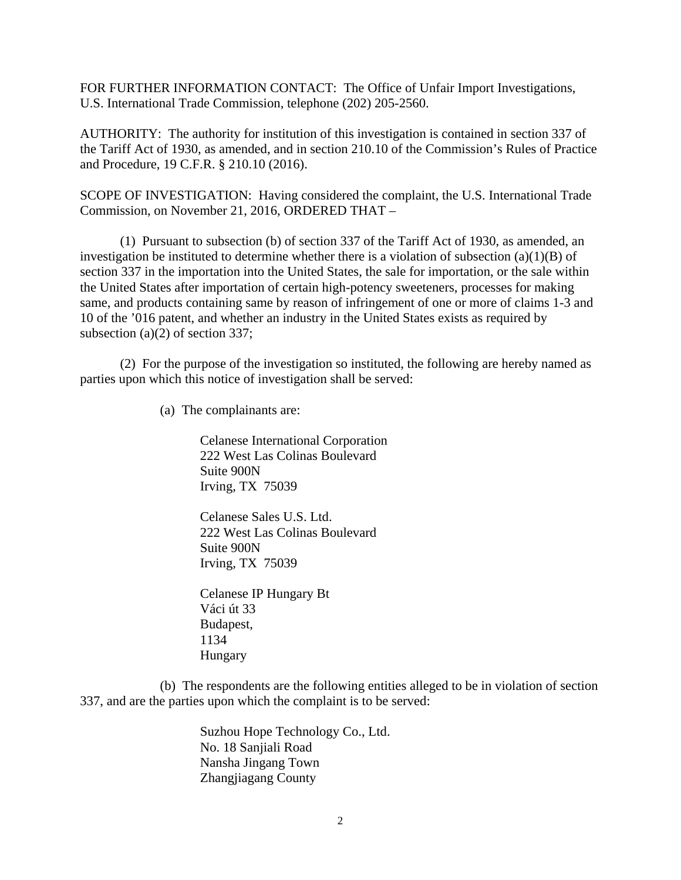FOR FURTHER INFORMATION CONTACT: The Office of Unfair Import Investigations, U.S. International Trade Commission, telephone (202) 205-2560.

AUTHORITY: The authority for institution of this investigation is contained in section 337 of the Tariff Act of 1930, as amended, and in section 210.10 of the Commission's Rules of Practice and Procedure, 19 C.F.R. § 210.10 (2016).

SCOPE OF INVESTIGATION: Having considered the complaint, the U.S. International Trade Commission, on November 21, 2016, ORDERED THAT –

 (1) Pursuant to subsection (b) of section 337 of the Tariff Act of 1930, as amended, an investigation be instituted to determine whether there is a violation of subsection  $(a)(1)(B)$  of section 337 in the importation into the United States, the sale for importation, or the sale within the United States after importation of certain high-potency sweeteners, processes for making same, and products containing same by reason of infringement of one or more of claims 1-3 and 10 of the '016 patent, and whether an industry in the United States exists as required by subsection (a)(2) of section 337;

 (2) For the purpose of the investigation so instituted, the following are hereby named as parties upon which this notice of investigation shall be served:

(a) The complainants are:

Celanese International Corporation 222 West Las Colinas Boulevard Suite 900N Irving, TX 75039

Celanese Sales U.S. Ltd. 222 West Las Colinas Boulevard Suite 900N Irving, TX 75039

Celanese IP Hungary Bt Váci út 33 Budapest, 1134 Hungary

 (b) The respondents are the following entities alleged to be in violation of section 337, and are the parties upon which the complaint is to be served:

> Suzhou Hope Technology Co., Ltd. No. 18 Sanjiali Road Nansha Jingang Town Zhangjiagang County